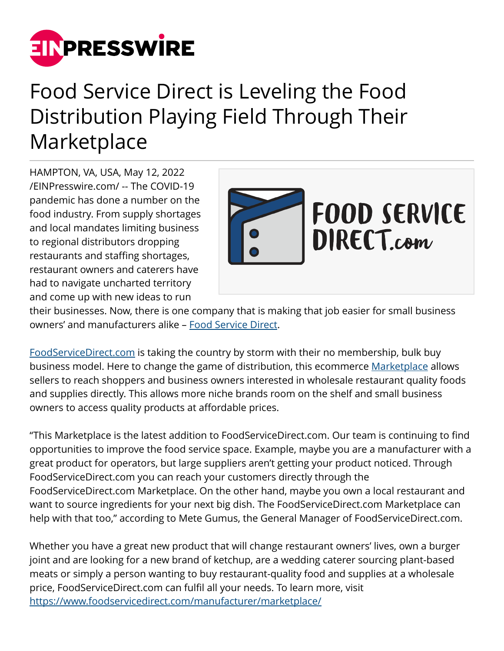

## Food Service Direct is Leveling the Food Distribution Playing Field Through Their Marketplace

HAMPTON, VA, USA, May 12, 2022 [/EINPresswire.com/](http://www.einpresswire.com) -- The COVID-19 pandemic has done a number on the food industry. From supply shortages and local mandates limiting business to regional distributors dropping restaurants and staffing shortages, restaurant owners and caterers have had to navigate uncharted territory and come up with new ideas to run



their businesses. Now, there is one company that is making that job easier for small business owners' and manufacturers alike – [Food Service Direct](http://www.foodservicedirect.com).

[FoodServiceDirect.com](http://www.foodservicedirect.com) is taking the country by storm with their no membership, bulk buy business model. Here to change the game of distribution, this ecommerce [Marketplace](http://www.foodservicedirect.com/manufacturer/marketplace/) allows sellers to reach shoppers and business owners interested in wholesale restaurant quality foods and supplies directly. This allows more niche brands room on the shelf and small business owners to access quality products at affordable prices.

"This Marketplace is the latest addition to FoodServiceDirect.com. Our team is continuing to find opportunities to improve the food service space. Example, maybe you are a manufacturer with a great product for operators, but large suppliers aren't getting your product noticed. Through FoodServiceDirect.com you can reach your customers directly through the FoodServiceDirect.com Marketplace. On the other hand, maybe you own a local restaurant and want to source ingredients for your next big dish. The FoodServiceDirect.com Marketplace can help with that too," according to Mete Gumus, the General Manager of FoodServiceDirect.com.

Whether you have a great new product that will change restaurant owners' lives, own a burger joint and are looking for a new brand of ketchup, are a wedding caterer sourcing plant-based meats or simply a person wanting to buy restaurant-quality food and supplies at a wholesale price, FoodServiceDirect.com can fulfil all your needs. To learn more, visit <https://www.foodservicedirect.com/manufacturer/marketplace/>